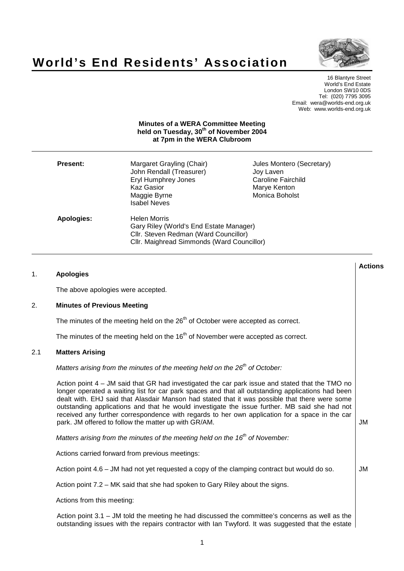



16 Blantyre Street World's End Estate London SW10 0DS Tel: (020) 7795 3095 Email: wera@worlds-end.org.uk Web: www.worlds-end.org.uk

## **Minutes of a WERA Committee Meeting held on Tuesday, 30 th of November 2004 at 7pm in the WERA Clubroom**

| <b>Present:</b> | Margaret Grayling (Chair)<br>John Rendall (Treasurer)<br><b>Eryl Humphrey Jones</b><br><b>Kaz Gasior</b><br>Maggie Byrne<br><b>Isabel Neves</b>       | Jules Montero (Secretary)<br>Joy Laven<br><b>Caroline Fairchild</b><br>Marye Kenton<br>Monica Boholst |
|-----------------|-------------------------------------------------------------------------------------------------------------------------------------------------------|-------------------------------------------------------------------------------------------------------|
| Apologies:      | <b>Helen Morris</b><br>Gary Riley (World's End Estate Manager)<br>Cllr. Steven Redman (Ward Councillor)<br>Cllr. Maighread Simmonds (Ward Councillor) |                                                                                                       |

| 1.  | <b>Apologies</b>                                                                                                                                                                                                                                                                                                                                                                                                                                                                                                                                                    | <b>Actions</b> |
|-----|---------------------------------------------------------------------------------------------------------------------------------------------------------------------------------------------------------------------------------------------------------------------------------------------------------------------------------------------------------------------------------------------------------------------------------------------------------------------------------------------------------------------------------------------------------------------|----------------|
|     | The above apologies were accepted.                                                                                                                                                                                                                                                                                                                                                                                                                                                                                                                                  |                |
| 2.  | <b>Minutes of Previous Meeting</b>                                                                                                                                                                                                                                                                                                                                                                                                                                                                                                                                  |                |
|     | The minutes of the meeting held on the 26 <sup>th</sup> of October were accepted as correct.                                                                                                                                                                                                                                                                                                                                                                                                                                                                        |                |
|     | The minutes of the meeting held on the $16th$ of November were accepted as correct.                                                                                                                                                                                                                                                                                                                                                                                                                                                                                 |                |
| 2.1 | <b>Matters Arising</b>                                                                                                                                                                                                                                                                                                                                                                                                                                                                                                                                              |                |
|     | Matters arising from the minutes of the meeting held on the 26 <sup>th</sup> of October:                                                                                                                                                                                                                                                                                                                                                                                                                                                                            |                |
|     | Action point $4 - JM$ said that GR had investigated the car park issue and stated that the TMO no<br>longer operated a waiting list for car park spaces and that all outstanding applications had been<br>dealt with. EHJ said that Alasdair Manson had stated that it was possible that there were some<br>outstanding applications and that he would investigate the issue further. MB said she had not<br>received any further correspondence with regards to her own application for a space in the car<br>park. JM offered to follow the matter up with GR/AM. | JM             |
|     | Matters arising from the minutes of the meeting held on the $16th$ of November:                                                                                                                                                                                                                                                                                                                                                                                                                                                                                     |                |
|     | Actions carried forward from previous meetings:                                                                                                                                                                                                                                                                                                                                                                                                                                                                                                                     |                |
|     | Action point $4.6$ – JM had not yet requested a copy of the clamping contract but would do so.                                                                                                                                                                                                                                                                                                                                                                                                                                                                      | JM             |
|     | Action point 7.2 – MK said that she had spoken to Gary Riley about the signs.                                                                                                                                                                                                                                                                                                                                                                                                                                                                                       |                |
|     | Actions from this meeting:                                                                                                                                                                                                                                                                                                                                                                                                                                                                                                                                          |                |
|     | Action point $3.1$ – JM told the meeting he had discussed the committee's concerns as well as the<br>outstanding issues with the repairs contractor with lan Twyford. It was suggested that the estate                                                                                                                                                                                                                                                                                                                                                              |                |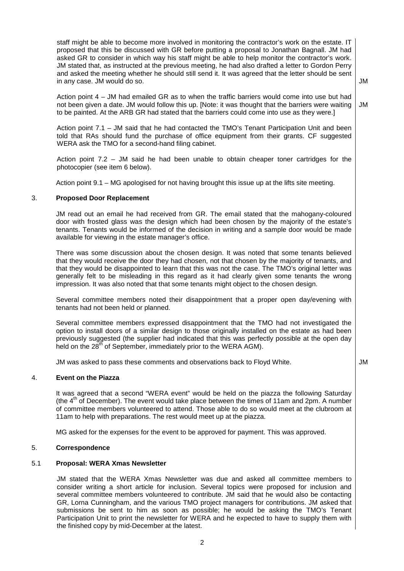staff might be able to become more involved in monitoring the contractor's work on the estate. IT proposed that this be discussed with GR before putting a proposal to Jonathan Bagnall. JM had asked GR to consider in which way his staff might be able to help monitor the contractor's work. JM stated that, as instructed at the previous meeting, he had also drafted a letter to Gordon Perry and asked the meeting whether he should still send it. It was agreed that the letter should be sent in any case. JM would do so.

JM

JM

Action point 4 – JM had emailed GR as to when the traffic barriers would come into use but had not been given a date. JM would follow this up. [Note: it was thought that the barriers were waiting to be painted. At the ARB GR had stated that the barriers could come into use as they were.]

Action point 7.1 – JM said that he had contacted the TMO's Tenant Participation Unit and been told that RAs should fund the purchase of office equipment from their grants. CF suggested WERA ask the TMO for a second-hand filing cabinet.

Action point 7.2 – JM said he had been unable to obtain cheaper toner cartridges for the photocopier (see item 6 below).

Action point 9.1 – MG apologised for not having brought this issue up at the lifts site meeting.

## 3. **Proposed Door Replacement**

JM read out an email he had received from GR. The email stated that the mahogany-coloured door with frosted glass was the design which had been chosen by the majority of the estate's tenants. Tenants would be informed of the decision in writing and a sample door would be made available for viewing in the estate manager's office.

There was some discussion about the chosen design. It was noted that some tenants believed that they would receive the door they had chosen, not that chosen by the majority of tenants, and that they would be disappointed to learn that this was not the case. The TMO's original letter was generally felt to be misleading in this regard as it had clearly given some tenants the wrong impression. It was also noted that that some tenants might object to the chosen design.

Several committee members noted their disappointment that a proper open day/evening with tenants had not been held or planned.

Several committee members expressed disappointment that the TMO had not investigated the option to install doors of a similar design to those originally installed on the estate as had been previously suggested (the supplier had indicated that this was perfectly possible at the open day held on the 28<sup>th</sup> of September, immediately prior to the WERA AGM).

JM was asked to pass these comments and observations back to Floyd White.  $\blacksquare$ 

# 4. **Event on the Piazza**

It was agreed that a second "WERA event" would be held on the piazza the following Saturday (the  $4<sup>th</sup>$  of December). The event would take place between the times of 11am and 2pm. A number of committee members volunteered to attend. Those able to do so would meet at the clubroom at 11am to help with preparations. The rest would meet up at the piazza.

MG asked for the expenses for the event to be approved for payment. This was approved.

# 5. **Correspondence**

# 5.1 **Proposal: WERA Xmas Newsletter**

JM stated that the WERA Xmas Newsletter was due and asked all committee members to consider writing a short article for inclusion. Several topics were proposed for inclusion and several committee members volunteered to contribute. JM said that he would also be contacting GR, Lorna Cunningham, and the various TMO project managers for contributions. JM asked that submissions be sent to him as soon as possible; he would be asking the TMO's Tenant Participation Unit to print the newsletter for WERA and he expected to have to supply them with the finished copy by mid-December at the latest.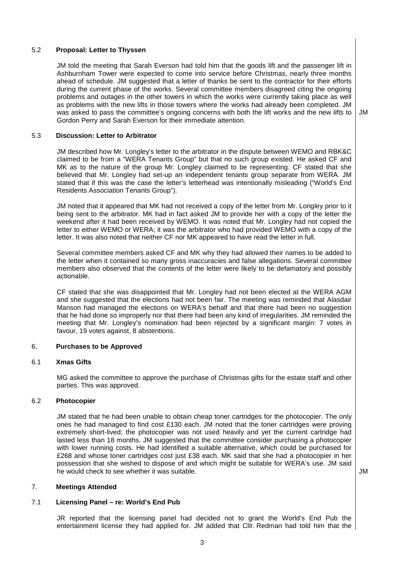# 5.2 **Proposal: Letter to Thyssen**

JM told the meeting that Sarah Everson had told him that the goods lift and the passenger lift in Ashburnham Tower were expected to come into service before Christmas, nearly three months ahead of schedule. JM suggested that a letter of thanks be sent to the contractor for their efforts during the current phase of the works. Several committee members disagreed citing the ongoing problems and outages in the other towers in which the works were currently taking place as well as problems with the new lifts in those towers where the works had already been completed. JM was asked to pass the committee's ongoing concerns with both the lift works and the new lifts to Gordon Perry and Sarah Everson for their immediate attention.

5.3 **Discussion: Letter to Arbitrator**

JM described how Mr. Longley's letter to the arbitrator in the dispute between WEMO and RBK&C claimed to be from a "WERA Tenants Group" but that no such group existed. He asked CF and MK as to the nature of the group Mr. Longley claimed to be representing. CF stated that she believed that Mr. Longley had set-up an independent tenants group separate from WERA. JM stated that if this was the case the letter's letterhead was intentionally misleading ("World's End Residents Association Tenants Group").

JM noted that it appeared that MK had not received a copy of the letter from Mr. Longley prior to it being sent to the arbitrator. MK had in fact asked JM to provide her with a copy of the letter the weekend after it had been received by WEMO. It was noted that Mr. Longley had not copied the letter to either WEMO or WERA; it was the arbitrator who had provided WEMO with a copy of the letter. It was also noted that neither CF nor MK appeared to have read the letter in full.

Several committee members asked CF and MK why they had allowed their names to be added to the letter when it contained so many gross inaccuracies and false allegations. Several committee members also observed that the contents of the letter were likely to be defamatory and possibly actionable.

CF stated that she was disappointed that Mr. Longley had not been elected at the WERA AGM and she suggested that the elections had not been fair. The meeting was reminded that Alasdair Manson had managed the elections on WERA's behalf and that there had been no suggestion that he had done so improperly nor that there had been any kind of irregularities. JM reminded the meeting that Mr. Longley's nomination had been rejected by a significant margin: 7 votes in favour, 19 votes against, 8 abstentions.

## 6. **Purchases to be Approved**

## 6.1 **Xmas Gifts**

MG asked the committee to approve the purchase of Christmas gifts for the estate staff and other parties. This was approved.

## 6.2 **Photocopier**

JM stated that he had been unable to obtain cheap toner cartridges for the photocopier. The only ones he had managed to find cost £130 each. JM noted that the toner cartridges were proving extremely short-lived; the photocopier was not used heavily and yet the current cartridge had lasted less than 18 months. JM suggested that the committee consider purchasing a photocopier with lower running costs. He had identified a suitable alternative, which could be purchased for £268 and whose toner cartridges cost just £38 each. MK said that she had a photocopier in her possession that she wished to dispose of and which might be suitable for WERA's use. JM said he would check to see whether it was suitable. The set of the set of the set of the set of the set of the set of the set of the set of the set of the set of the set of the set of the set of the set of the set of the set of

# 7. **Meetings Attended**

# 7.1 **Licensing Panel – re: World's End Pub**

JR reported that the licensing panel had decided not to grant the World's End Pub the entertainment license they had applied for. JM added that Cllr. Redman had told him that the

JM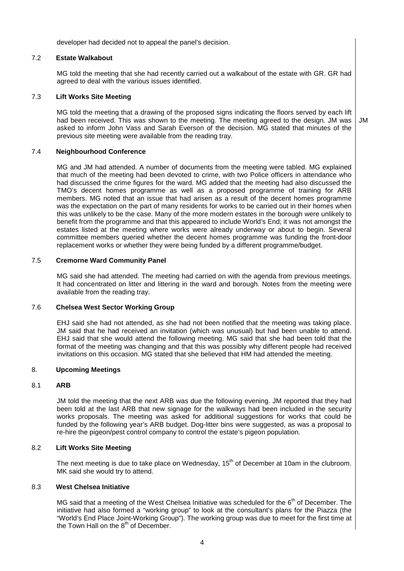developer had decided not to appeal the panel's decision.

# 7.2 **Estate Walkabout**

MG told the meeting that she had recently carried out a walkabout of the estate with GR. GR had agreed to deal with the various issues identified.

# 7.3 **Lift Works Site Meeting**

MG told the meeting that a drawing of the proposed signs indicating the floors served by each lift had been received. This was shown to the meeting. The meeting agreed to the design. JM was asked to inform John Vass and Sarah Everson of the decision. MG stated that minutes of the previous site meeting were available from the reading tray. JM

## 7.4 **Neighbourhood Conference**

MG and JM had attended. A number of documents from the meeting were tabled. MG explained that much of the meeting had been devoted to crime, with two Police officers in attendance who had discussed the crime figures for the ward. MG added that the meeting had also discussed the TMO's decent homes programme as well as a proposed programme of training for ARB members. MG noted that an issue that had arisen as a result of the decent homes programme was the expectation on the part of many residents for works to be carried out in their homes when this was unlikely to be the case. Many of the more modern estates in the borough were unlikely to benefit from the programme and that this appeared to include World's End; it was not amongst the estates listed at the meeting where works were already underway or about to begin. Several committee members queried whether the decent homes programme was funding the front-door replacement works or whether they were being funded by a different programme/budget.

# 7.5 **Cremorne Ward Community Panel**

MG said she had attended. The meeting had carried on with the agenda from previous meetings. It had concentrated on litter and littering in the ward and borough. Notes from the meeting were available from the reading tray.

# 7.6 **Chelsea West Sector Working Group**

EHJ said she had not attended, as she had not been notified that the meeting was taking place. JM said that he had received an invitation (which was unusual) but had been unable to attend. EHJ said that she would attend the following meeting. MG said that she had been told that the format of the meeting was changing and that this was possibly why different people had received invitations on this occasion. MG stated that she believed that HM had attended the meeting.

## 8. **Upcoming Meetings**

# 8.1 **ARB**

JM told the meeting that the next ARB was due the following evening. JM reported that they had been told at the last ARB that new signage for the walkways had been included in the security works proposals. The meeting was asked for additional suggestions for works that could be funded by the following year's ARB budget. Dog-litter bins were suggested, as was a proposal to re-hire the pigeon/pest control company to control the estate's pigeon population.

## 8.2 **Lift Works Site Meeting**

The next meeting is due to take place on Wednesday, 15<sup>th</sup> of December at 10am in the clubroom. MK said she would try to attend.

# 8.3 **West Chelsea Initiative**

MG said that a meeting of the West Chelsea Initiative was scheduled for the  $6<sup>th</sup>$  of December. The initiative had also formed a "working group" to look at the consultant's plans for the Piazza (the "World's End Place Joint-Working Group"). The working group was due to meet for the first time at the Town Hall on the  $8<sup>th</sup>$  of December.